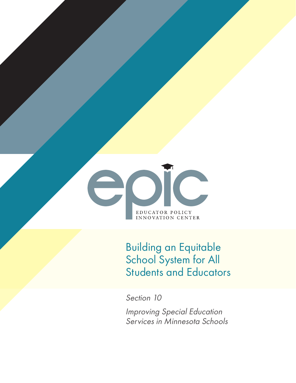

# Building an Equitable School System for All Students and Educators

Section 10

Improving Special Education Services in Minnesota Schools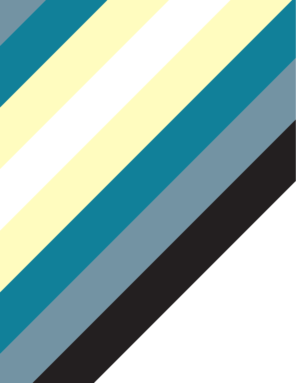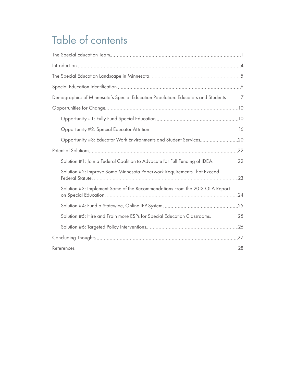# Table of contents

| Demographics of Minnesota's Special Education Population: Educators and Students |
|----------------------------------------------------------------------------------|
|                                                                                  |
|                                                                                  |
|                                                                                  |
| Opportunity #3: Educator Work Environments and Student Services20                |
|                                                                                  |
| Solution #1: Join a Federal Coalition to Advocate for Full Funding of IDEA22     |
| Solution #2: Improve Some Minnesota Paperwork Requirements That Exceed           |
| Solution #3: Implement Some of the Recommendations From the 2013 OLA Report      |
|                                                                                  |
| Solution #5: Hire and Train more ESPs for Special Education Classrooms 25        |
|                                                                                  |
|                                                                                  |
|                                                                                  |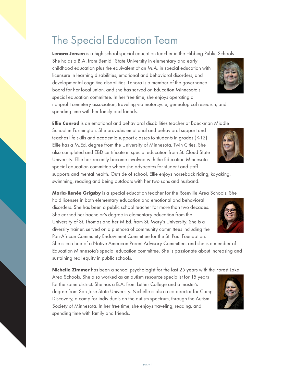# The Special Education Team

**Lenora Jensen** is a high school special education teacher in the Hibbing Public Schools.

She holds a B.A. from Bemidji State University in elementary and early childhood education plus the equivalent of an M.A. in special education with licensure in learning disabilities, emotional and behavioral disorders, and developmental cognitive disabilities. Lenora is a member of the governance board for her local union, and she has served on Education Minnesota's special education committee. In her free time, she enjoys operating a nonprofit cemetery association, traveling via motorcycle, genealogical research, and spending time with her family and friends.

**Ellie Conrad** is an emotional and behavioral disabilities teacher at Boeckman Middle

School in Farmington. She provides emotional and behavioral support and teaches life skills and academic support classes to students in grades (K-12). Ellie has a M.Ed. degree from the University of Minnesota, Twin Cities. She also completed and EBD certificate in special education from St. Cloud State University. Ellie has recently become involved with the Education Minnesota special education committee where she advocates for student and staff supports and mental health. Outside of school, Ellie enjoys horseback riding, kayaking,

swimming, reading and being outdoors with her two sons and husband.

**Maria-Renée Grigsby** is a special education teacher for the Roseville Area Schools. She

hold licenses in both elementary education and emotional and behavioral disorders. She has been a public school teacher for more than two decades. She earned her bachelor's degree in elementary education from the University of St. Thomas and her M.Ed. from St. Mary's University. She is a diversity trainer, served on a plethora of community committees including the Pan-African Community Endowment Committee for the St. Paul Foundation.

She is co-chair of a Native American Parent Advisory Committee, and she is a member of Education Minnesota's special education committee. She is passionate about increasing and sustaining real equity in public schools.

**Nichelle Zimmer** has been a school psychologist for the last 25 years with the Forest Lake

Area Schools. She also worked as an autism resource specialist for 15 years for the same district. She has a B.A. from Luther College and a master's degree from San Jose State University. Nichelle is also a co-director for Camp Discovery, a camp for individuals on the autism spectrum, through the Autism Society of Minnesota. In her free time, she enjoys traveling, reading, and spending time with family and friends.







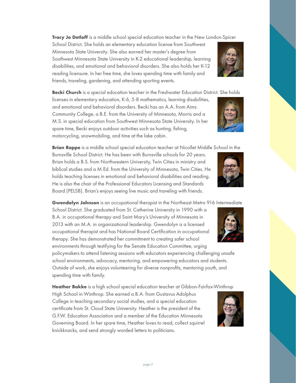**Tracy Jo Detloff** is a middle school special education teacher in the New London-Spicer

School District. She holds an elementary education license from Southwest Minnesota State University. She also earned her master's degree from Southwest Minnesota State University in K-2 educational leadership, learning disabilities, and emotional and behavioral disorders. She also holds her K-12 reading licensure. In her free time, she loves spending time with family and friends, traveling, gardening, and attending sporting events.

**Becki Church** is a special education teacher in the Freshwater Education District. She holds

licenses in elementary education, K-6, 5-8 mathematics, learning disabilities, and emotional and behavioral disorders. Becki has an A.A. from Aims Community College, a B.E. from the University of Minnesota, Morris and a M.S. in special education from Southwest Minnesota State University. In her spare time, Becki enjoys outdoor activities such as hunting, fishing, motorcycling, snowmobiling, and time at the lake cabin.

**Brian Rappe** is a middle school special education teacher at Nicollet Middle School in the

Burnsville School District. He has been with Burnsville schools for 20 years. Brian holds a B.S. from Northwestern University, Twin Cities in ministry and biblical studies and a M.Ed. from the University of Minnesota, Twin Cities. He holds teaching licenses in emotional and behavioral disabilities and reading. He is also the chair of the Professional Educators Licensing and Standards Board (PELSB). Brian's enjoys seeing live music and traveling with friends.

**Gwendolyn Johnson** is an occupational therapist in the Northeast Metro 916 Intermediate

School District. She graduated from St. Catherine University in 1990 with a B.A. in occupational therapy and Saint Mary's University of Minnesota in 2013 with an M.A. in organizational leadership. Gwendolyn is a licensed occupational therapist and has National Board Certification in occupational therapy. She has demonstrated her commitment to creating safer school environments through testifying for the Senate Education Committee, urging

policymakers to attend listening sessions with educators experiencing challenging unsafe school environments, advocacy, mentoring, and empowering educators and students. Outside of work, she enjoys volunteering for diverse nonprofits, mentoring youth, and spending time with family.

**Heather Bakke** is a high school special education teacher at Gibbon-Fairfax-Winthrop High School in Winthrop. She earned a B.A. from Gustavus Adolphus College in teaching secondary social studies, and a special education certificate from St. Cloud State University. Heather is the president of the G.F.W. Education Association and a member of the Education Minnesota Governing Board. In her spare time, Heather loves to read, collect squirrel knickknacks, and send strongly worded letters to politicians.







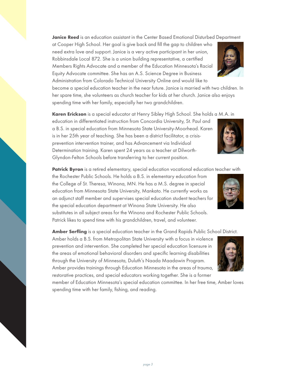**Janice Reed** is an education assistant in the Center Based Emotional Disturbed Department

at Cooper High School. Her goal is give back and fill the gap to children who need extra love and support. Janice is a very active participant in her union, Robbinsdale Local 872. She is a union building representative, a certified Members Rights Advocate and a member of the Education Minnesota's Racial Equity Advocate committee. She has an A.S. Science Degree in Business Administration from Colorado Technical University Online and would like to

become a special education teacher in the near future. Janice is married with two children. In her spare time, she volunteers as church teacher for kids at her church. Janice also enjoys spending time with her family, especially her two grandchildren.

**Karen Erickson** is a special educator at Henry Sibley High School. She holds a M.A. in

education in differentiated instruction from Concordia University, St. Paul and a B.S. in special education from Minnesota State University-Moorhead. Karen is in her 25th year of teaching. She has been a district facilitator, a crisisprevention intervention trainer, and has Advancement via Individual Determination training. Karen spent 24 years as a teacher at Dilworth-Glyndon-Felton Schools before transferring to her current position.

Patrick Byron is a retired elementary, special education vocational education teacher with

the Rochester Public Schools. He holds a B.S. in elementary education from the College of St. Theresa, Winona, MN. He has a M.S. degree in special education from Minnesota State University, Mankato. He currently works as an adjunct staff member and supervises special education student teachers for the special education department at Winona State University. He also substitutes in all subject areas for the Winona and Rochester Public Schools. Patrick likes to spend time with his grandchildren, travel, and volunteer.

**Amber Serfling** is a special education teacher in the Grand Rapids Public School District.

Amber holds a B.S. from Metropolitan State University with a focus in violence prevention and intervention. She completed her special education licensure in the areas of emotional behavioral disorders and specific learning disabilities through the University of Minnesota, Duluth's Naada Maadawin Program. Amber provides trainings through Education Minnesota in the areas of trauma, restorative practices, and special educators working together. She is a former

member of Education Minnesota's special education committee. In her free time, Amber loves spending time with her family, fishing, and reading.







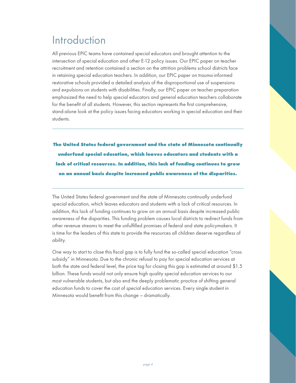## Introduction

All previous EPIC teams have contained special educators and brought attention to the intersection of special education and other E-12 policy issues. Our EPIC paper on teacher recruitment and retention contained a section on the attrition problems school districts face in retaining special education teachers. In addition, our EPIC paper on trauma-informed restorative schools provided a detailed analysis of the disproportional use of suspensions and expulsions on students with disabilities. Finally, our EPIC paper on teacher preparation emphasized the need to help special educators and general education teachers collaborate for the benefit of all students. However, this section represents the first comprehensive, stand-alone look at the policy issues facing educators working in special education and their students.

**The United States federal government and the state of Minnesota continually underfund special education, which leaves educators and students with a lack of critical resources. In addition, this lack of funding continues to grow on an annual basis despite increased public awareness of the disparities.**

The United States federal government and the state of Minnesota continually underfund special education, which leaves educators and students with a lack of critical resources. In addition, this lack of funding continues to grow on an annual basis despite increased public awareness of the disparities. This funding problem causes local districts to redirect funds from other revenue streams to meet the unfulfilled promises of federal and state policymakers. It is time for the leaders of this state to provide the resources all children deserve regardless of ability.

One way to start to close this fiscal gap is to fully fund the so-called special education "cross subsidy" in Minnesota. Due to the chronic refusal to pay for special education services at both the state and federal level, the price tag for closing this gap is estimated at around \$1.5 billion. These funds would not only ensure high quality special education services to our most vulnerable students, but also end the deeply problematic practice of shifting general education funds to cover the cost of special education services. Every single student in Minnesota would benefit from this change — dramatically.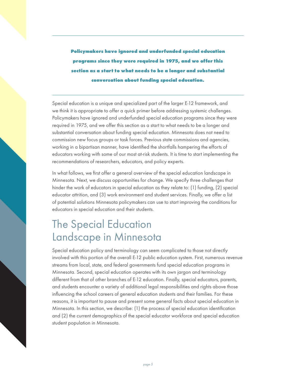**Policymakers have ignored and underfunded special education programs since they were required in 1975, and we offer this section as a start to what needs to be a longer and substantial conversation about funding special education.**

Special education is a unique and specialized part of the larger E-12 framework, and we think it is appropriate to offer a quick primer before addressing systemic challenges. Policymakers have ignored and underfunded special education programs since they were required in 1975, and we offer this section as a start to what needs to be a longer and substantial conversation about funding special education. Minnesota does not need to commission new focus groups or task forces. Previous state commissions and agencies, working in a bipartisan manner, have identified the shortfalls hampering the efforts of educators working with some of our most at-risk students. It is time to start implementing the recommendations of researchers, educators, and policy experts.

In what follows, we first offer a general overview of the special education landscape in Minnesota. Next, we discuss opportunities for change. We specify three challenges that hinder the work of educators in special education as they relate to: (1) funding, (2) special educator attrition, and (3) work environment and student services. Finally, we offer a list of potential solutions Minnesota policymakers can use to start improving the conditions for educators in special education and their students.

## The Special Education Landscape in Minnesota

Special education policy and terminology can seem complicated to those not directly involved with this portion of the overall E-12 public education system. First, numerous revenue streams from local, state, and federal governments fund special education programs in Minnesota. Second, special education operates with its own jargon and terminology different from that of other branches of E-12 education. Finally, special educators, parents, and students encounter a variety of additional legal responsibilities and rights above those influencing the school careers of general education students and their families. For these reasons, it is important to pause and present some general facts about special education in Minnesota. In this section, we describe: (1) the process of special education identification and (2) the current demographics of the special educator workforce and special education student population in Minnesota.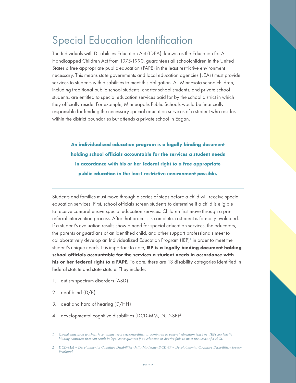## Special Education Identification

The Individuals with Disabilities Education Act (IDEA), known as the Education for All Handicapped Children Act from 1975-1990, guarantees all schoolchildren in the United States a free appropriate public education (FAPE) in the least restrictive environment necessary. This means state governments and local education agencies (LEAs) must provide services to students with disabilities to meet this obligation. All Minnesota schoolchildren, including traditional public school students, charter school students, and private school students, are entitled to special education services paid for by the school district in which they officially reside. For example, Minneapolis Public Schools would be financially responsible for funding the necessary special education services of a student who resides within the district boundaries but attends a private school in Eagan.

**An individualized education program is a legally binding document holding school officials accountable for the services a student needs in accordance with his or her federal right to a free appropriate public education in the least restrictive environment possible.**

Students and families must move through a series of steps before a child will receive special education services. First, school officials screen students to determine if a child is eligible to receive comprehensive special education services. Children first move through a prereferral intervention process. After that process is complete, a student is formally evaluated. If a student's evaluation results show a need for special education services, the educators, the parents or guardians of an identified child, and other support professionals meet to collaboratively develop an Individualized Education Program (IEP)1 in order to meet the student's unique needs. It is important to note, **IEP is a legally binding document holding school officials accountable for the services a student needs in accordance with his or her federal right to a FAPE.** To date, there are 13 disability categories identified in federal statute and state statute. They include:

- 1. autism spectrum disorders (ASD)
- 2. deaf-blind (D/B)
- 3. deaf and hard of hearing (D/HH)
- 4. developmental cognitive disabilities (DCD-MM, DCD-SP)2

*<sup>1</sup> Special education teachers face unique legal responsibilities as compared to general education teachers. IEPs are legally binding contracts that can result in legal consequences if an educator or district fails to meet the needs of a child.*

*<sup>2</sup> DCD-MM = Developmental Cognitive Disabilities: Mild-Moderate; DCD-SP = Developmental Cognitive Disabilities: Severe-Profound*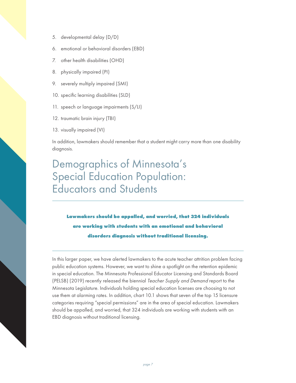- 5. developmental delay (D/D)
- 6. emotional or behavioral disorders (EBD)
- 7. other health disabilities (OHD)
- 8. physically impaired (PI)
- 9. severely multiply impaired (SMI)
- 10. specific learning disabilities (SLD)
- 11. speech or language impairments (S/LI)
- 12. traumatic brain injury (TBI)
- 13. visually impaired (VI)

In addition, lawmakers should remember that a student might carry more than one disability diagnosis.

## Demographics of Minnesota's Special Education Population: Educators and Students

**Lawmakers should be appalled, and worried, that 324 individuals are working with students with an emotional and behavioral disorders diagnosis without traditional licensing.**

In this larger paper, we have alerted lawmakers to the acute teacher attrition problem facing public education systems. However, we want to shine a spotlight on the retention epidemic in special education. The Minnesota Professional Educator Licensing and Standards Board (PELSB) (2019) recently released the biennial Teacher Supply and Demand report to the Minnesota Legislature. Individuals holding special education licenses are choosing to not use them at alarming rates. In addition, chart 10.1 shows that seven of the top 15 licensure categories requiring "special permissions" are in the area of special education. Lawmakers should be appalled, and worried, that 324 individuals are working with students with an EBD diagnosis without traditional licensing.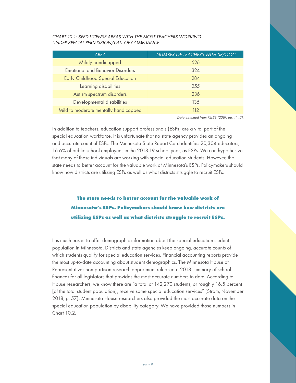| CHART 10.1: SPED LICENSE AREAS WITH THE MOST TEACHERS WORKING |
|---------------------------------------------------------------|
| UNDER SPECIAL PERMISSION/OUT OF COMPLIANCE                    |

| <b>AREA</b>                              | <b>NUMBER OF TEACHERS WITH SP/OOC</b> |
|------------------------------------------|---------------------------------------|
| Mildly handicapped                       | 526                                   |
| <b>Emotional and Behavior Disorders</b>  | 324                                   |
| <b>Early Childhood Special Education</b> | 284                                   |
| Learning disabilities                    | 255                                   |
| Autism spectrum disorders                | 236                                   |
| Developmental disabilities               | 135                                   |
| Mild to moderate mentally handicapped    | 112                                   |

Data obtained from PELSB (2019, pp. 11-12).

In addition to teachers, education support professionals (ESPs) are a vital part of the special education workforce. It is unfortunate that no state agency provides an ongoing and accurate count of ESPs. The Minnesota State Report Card identifies 20,304 educators, 16.6% of public school employees in the 2018-19 school year, as ESPs. We can hypothesize that many of these individuals are working with special education students. However, the state needs to better account for the valuable work of Minnesota's ESPs. Policymakers should know how districts are utilizing ESPs as well as what districts struggle to recruit ESPs.

### **The state needs to better account for the valuable work of Minnesota's ESPs. Policymakers should know how districts are utilizing ESPs as well as what districts struggle to recruit ESPs.**

It is much easier to offer demographic information about the special education student population in Minnesota. Districts and state agencies keep ongoing, accurate counts of which students qualify for special education services. Financial accounting reports provide the most up-to-date accounting about student demographics. The Minnesota House of Representatives non-partisan research department released a 2018 summary of school finances for all legislators that provides the most accurate numbers to date. According to House researchers, we know there are "a total of 142,270 students, or roughly 16.5 percent [of the total student population], receive some special education services" (Strom, November 2018, p. 57). Minnesota House researchers also provided the most accurate data on the special education population by disability category. We have provided those numbers in Chart 10.2.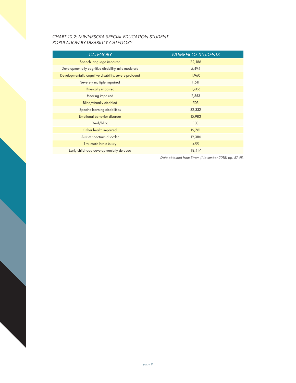#### CHART 10.2: MINNESOTA SPECIAL EDUCATION STUDENT POPULATION BY DISABILITY CATEGORY

| <b>CATEGORY</b>                                       | <b>NUMBER OF STUDENTS</b> |
|-------------------------------------------------------|---------------------------|
| Speech language impaired                              | 22,186                    |
| Developmentally cognitive disability, mild-moderate   | 5,494                     |
| Developmentally cognitive disability, severe-profound | 1,960                     |
| Severely multiple impaired                            | 1,511                     |
| Physically impaired                                   | 1,606                     |
| Hearing impaired                                      | 2,553                     |
| <b>Blind/visually disabled</b>                        | 503                       |
| Specific learning disabilities                        | 32,332                    |
| <b>Emotional behavior disorder</b>                    | 15,983                    |
| Deaf/blind                                            | 103                       |
| Other health impaired                                 | 19,781                    |
| Autism spectrum disorder                              | 19,386                    |
| Traumatic brain injury                                | 455                       |
| Early childhood developmentally delayed               | 18,417                    |
|                                                       |                           |

Data obtained from Strom (November 2018) pp. 57-58.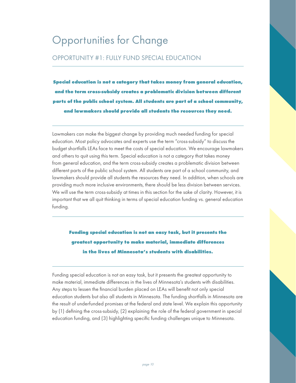# Opportunities for Change

### OPPORTUNITY #1: FULLY FUND SPECIAL EDUCATION

**Special education is not a category that takes money from general education, and the term cross-subsidy creates a problematic division between different parts of the public school system. All students are part of a school community, and lawmakers should provide all students the resources they need.**

Lawmakers can make the biggest change by providing much needed funding for special education. Most policy advocates and experts use the term "cross-subsidy" to discuss the budget shortfalls LEAs face to meet the costs of special education. We encourage lawmakers and others to quit using this term. Special education is not a category that takes money from general education, and the term cross-subsidy creates a problematic division between different parts of the public school system. All students are part of a school community, and lawmakers should provide all students the resources they need. In addition, when schools are providing much more inclusive environments, there should be less division between services. We will use the term cross-subsidy at times in this section for the sake of clarity. However, it is important that we all quit thinking in terms of special education funding vs. general education funding.

**Funding special education is not an easy task, but it presents the greatest opportunity to make material, immediate differences in the lives of Minnesota's students with disabilities.**

Funding special education is not an easy task, but it presents the greatest opportunity to make material, immediate differences in the lives of Minnesota's students with disabilities. Any steps to lessen the financial burden placed on LEAs will benefit not only special education students but also all students in Minnesota. The funding shortfalls in Minnesota are the result of underfunded promises at the federal and state level. We explain this opportunity by (1) defining the cross-subsidy, (2) explaining the role of the federal government in special education funding, and (3) highlighting specific funding challenges unique to Minnesota.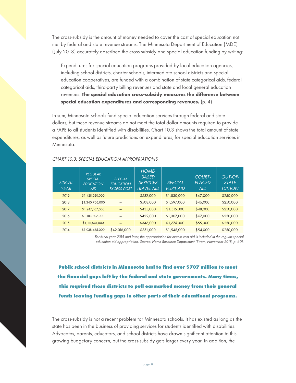The cross-subsidy is the amount of money needed to cover the cost of special education not met by federal and state revenue streams. The Minnesota Department of Education (MDE) (July 2018) accurately described the cross subsidy and special education funding by writing:

Expenditures for special education programs provided by local education agencies, including school districts, charter schools, intermediate school districts and special education cooperatives, are funded with a combination of state categorical aids, federal categorical aids, third-party billing revenues and state and local general education revenues. **The special education cross-subsidy measures the difference between special education expenditures and corresponding revenues.** (p. 4)

In sum, Minnesota schools fund special education services through federal and state dollars, but these revenue streams do not meet the total dollar amounts required to provide a FAPE to all students identified with disabilities. Chart 10.3 shows the total amount of state expenditures, as well as future predictions on expenditures, for special education services in Minnesota.

| <b>FISCAL</b><br>YEAR | <b>REGULAR</b><br><b>SPECIAL</b><br><b>EDUCATION</b><br><b>AID</b> | <b>SPECIAL</b><br><b>EDUCATION</b><br><b>EXCESS COST</b> | <b>HOME-</b><br><b>BASED</b><br><b>SERVICES</b><br><b>TRAVEL AID</b> | <b>SPECIAL</b><br><b>PUPIL AID</b> | COURT-<br>PLACED<br><b>AID</b> | OUT-OF-<br><b>STATE</b><br><b>TUITION</b> |
|-----------------------|--------------------------------------------------------------------|----------------------------------------------------------|----------------------------------------------------------------------|------------------------------------|--------------------------------|-------------------------------------------|
| 2019                  | \$1,428,020,000                                                    |                                                          | \$532,000                                                            | \$1,830,000                        | \$47,000                       | \$250,000                                 |
| 2018                  | \$1,340,706,000                                                    |                                                          | \$508,000                                                            | \$1,597,000                        | \$46,000                       | \$250,000                                 |
| 2017                  | \$1,247,107,000                                                    |                                                          | \$435,000                                                            | \$1,516,000                        | \$48,000                       | \$250,000                                 |
| 2016                  | \$1,183,807,000                                                    |                                                          | \$422,000                                                            | \$1,307,000                        | \$47,000                       | \$250,000                                 |
| 2015                  | \$1,111,641,000                                                    |                                                          | \$346,000                                                            | \$1,674,000                        | \$55,000                       | \$250,000                                 |
| 2014                  | \$1,038,465,000                                                    | \$42,016,000                                             | \$351,000                                                            | \$1,548,000                        | \$54,000                       | \$250,000                                 |

#### CHART 10.3: SPECIAL EDUCATION APPROPRIATIONS

For fiscal year 2015 and later, the appropriation for excess cost aid is included in the regular special education aid appropriation. Source: Home Resource Department (Strom, November 2018, p. 60).

**Public school districts in Minnesota had to find over \$707 million to meet the financial gaps left by the federal and state governments. Many times, this required those districts to pull earmarked money from their general funds leaving funding gaps in other parts of their educational programs.**

The cross-subsidy is not a recent problem for Minnesota schools. It has existed as long as the state has been in the business of providing services for students identified with disabilities. Advocates, parents, educators, and school districts have drawn significant attention to this growing budgetary concern, but the cross-subsidy gets larger every year. In addition, the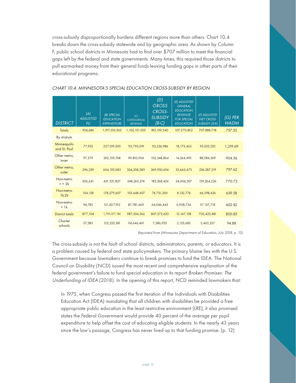cross-subsidy disproportionally burdens different regions more than others. Chart 10.4 breaks down the cross-subsidy statewide and by geographic area. As shown by Column F, public school districts in Minnesota had to find over \$707 million to meet the financial gaps left by the federal and state governments. Many times, this required those districts to pull earmarked money from their general funds leaving funding gaps in other parts of their educational programs.

| <b>DISTRICT</b>                    | (A)<br><b>ADJUSTED</b><br>PU | (B) SPECIAL<br><b>EDUCATION</b><br><b>EXPENDITURE</b> | C <br><b>CATEGORICAL</b><br><b>REVENUE</b> | (D)<br><b>GROSS</b><br><b>CROSS-</b><br><b>SUBSIDY</b><br>$(B-C)$ | (E) ADJUSTED<br><b>GENERAL</b><br><b>EDUCATION</b><br><b>REVENUE</b><br><b>FOR SPECIAL</b><br><b>EDUCATION</b> | (F) ADJUSTED<br><b>NET CROSS-</b><br><b>SUBSIDY (D-E)</b> | (G) PER<br><b>WADM</b> |
|------------------------------------|------------------------------|-------------------------------------------------------|--------------------------------------------|-------------------------------------------------------------------|----------------------------------------------------------------------------------------------------------------|-----------------------------------------------------------|------------------------|
| Totals                             | 934,686                      | 1,917,310,562                                         | 1,102,151,023                              | 815, 159, 540                                                     | 107,270,822                                                                                                    | 707,888,718                                               | 757.35                 |
| By stratum                         |                              |                                                       |                                            |                                                                   |                                                                                                                |                                                           |                        |
| <b>Minneapolis</b><br>and St. Paul | 77,932                       | 227,019,005                                           | 113,792,019                                | 113,226,986                                                       | 18, 173, 463                                                                                                   | 95,053,523                                                | 1,219.69               |
| Other metro,<br>inner              | 97,379                       | 202, 159, 768                                         | 99,810,904                                 | 102,348,864                                                       | 14,264,495                                                                                                     | 88,084,369                                                | 904.56                 |
| Other metro,<br>outer              | 296,239                      | 604, 159, 083                                         | 334,208,389                                | 269,950,694                                                       | 33,663,475                                                                                                     | 236, 287, 219                                             | 797.62                 |
| Non-metro<br>$>$ = 2 $k$           | 206,641                      | 431,531,807                                           | 248, 263, 374                              | 183,268,434                                                       | 24,004,207                                                                                                     | 159,264,226                                               | 770.73                 |
| Non-metro<br>$1k-2k$               | 104,128                      | 178,379,607                                           | 103,648,407                                | 74,731,200                                                        | 8,132,774                                                                                                      | 66,598,426                                                | 639.58                 |
| Non-metro<br>$<$ 1 $k$             | 94,785                       | 151,827,912                                           | 87,781,469                                 | 64,046,443                                                        | 6,908,724                                                                                                      | 57, 137, 718                                              | 602.82                 |
| <b>District totals</b>             | 877,104                      | 1,795,077,182                                         | 987,504,562                                | 807,572,620                                                       | 15, 147, 138                                                                                                   | 702,425,481                                               | 800.85                 |
| Charter<br>schools                 | 57,583                       | 122,233,381                                           | 114,646,461                                | 7,586,920                                                         | 2,123,683                                                                                                      | 5,463,237                                                 | 94.88                  |

#### CHART 10.4: MINNESOTA'S SPECIAL EDUCATION CROSS-SUBSIDY BY REGION

Reprinted from (Minnesota Department of Education, July 2018, p. 13).

The cross-subsidy is not the fault of school districts, administrators, parents, or educators. It is a problem caused by federal and state policymakers. The primary blame lies with the U.S. Government because lawmakers continue to break promises to fund the IDEA. The National Council on Disability (NCD) issued the most recent and comprehensive explanation of the federal government's failure to fund special education in its report Broken Promises: The Underfunding of IDEA (2018). In the opening of this report, NCD reminded lawmakers that:

In 1975, when Congress passed the first iteration of the Individuals with Disabilities Education Act (IDEA) mandating that all children with disabilities be provided a free appropriate public education in the least restrictive environment (LRE), it also promised states the Federal Government would provide 40 percent of the average per pupil expenditure to help offset the cost of educating eligible students. In the nearly 43 years since the law's passage, Congress has never lived up to that funding promise. (p. 12)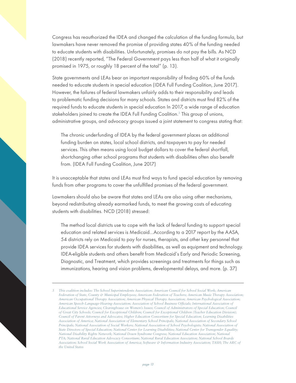Congress has reauthorized the IDEA and changed the calculation of the funding formula, but lawmakers have never removed the promise of providing states 40% of the funding needed to educate students with disabilities. Unfortunately, promises do not pay the bills. As NCD (2018) recently reported, "The Federal Government pays less than half of what it originally promised in 1975, or roughly 18 percent of the total" (p. 13).

State governments and LEAs bear an important responsibility of finding 60% of the funds needed to educate students in special education (IDEA Full Funding Coalition, June 2017). However, the failures of federal lawmakers unfairly adds to their responsibility and leads to problematic funding decisions for many schools. States and districts must find 82% of the required funds to educate students in special education In 2017, a wide range of education stakeholders joined to create the IDEA Full Funding Coalition.<sup>3</sup> This group of unions, administrative groups, and advocacy groups issued a joint statement to congress stating that:

The chronic underfunding of IDEA by the federal government places an additional funding burden on states, local school districts, and taxpayers to pay for needed services. This often means using local budget dollars to cover the federal shortfall, shortchanging other school programs that students with disabilities often also benefit from. (IDEA Full Funding Coalition, June 2017)

It is unacceptable that states and LEAs must find ways to fund special education by removing funds from other programs to cover the unfulfilled promises of the federal government.

Lawmakers should also be aware that states and LEAs are also using other mechanisms, beyond redistributing already earmarked funds, to meet the growing costs of educating students with disabilities. NCD (2018) stressed:

The method local districts use to cope with the lack of federal funding to support special education and related services is Medicaid…According to a 2017 report by the AASA, 54 districts rely on Medicaid to pay for nurses, therapists, and other key personnel that provide IDEA services for students with disabilities, as well as equipment and technology. IDEA-eligible students and others benefit from Medicaid's Early and Periodic Screening, Diagnostic, and Treatment, which provides screenings and treatments for things such as immunizations, hearing and vision problems, developmental delays, and more. (p. 37)

*<sup>3</sup> This coalition includes: The School Superintendents Association; American Council for School Social Work; American Federation of State, County & Municipal Employees; American Federation of Teachers; American Music Therapy Association; American Occupational Therapy Association; American Physical Therapy Association; American Psychological Association; American Speech-Language-Hearing-Association; Association of School Business Officials; International Association of Educational Service Agencies; Clearinghouse on Women's Issues; Council of Administrators of Special Education; Council of Great City Schools; Council for Exceptional Children; Council for Exceptional Children (Teacher Education Division); Council of Parent Attorneys and Advocates; Higher Education Consortium for Special Education; Learning Disabilities Association of America; National Association of Elementary School Principals; National Association of Secondary School Principals; National Association of Social Workers; National Association of School Psychologists; National Association of State Directors of Special Education; National Center for Learning Disabilities; National Center for Transgender Equality; National Disability Rights Network; National Down Syndrome Congress; National Education Association; National PTA; National Rural Education Advocacy Consortium; National Rural Education Association; National School Boards Association; School Social Work Association of America; Software & Information Industry Association; TASH; The ARC of the United States*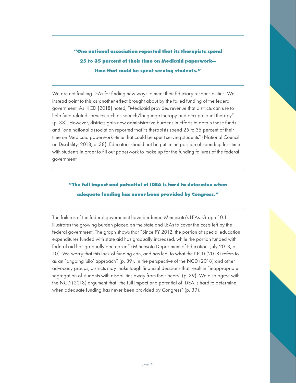**"One national association reported that its therapists spend 25 to 35 percent of their time on Medicaid paperwork time that could be spent serving students."**

We are not faulting LEAs for finding new ways to meet their fiduciary responsibilities. We instead point to this as another effect brought about by the failed funding of the federal government. As NCD (2018) noted, "Medicaid provides revenue that districts can use to help fund related services such as speech/language therapy and occupational therapy" (p. 38). However, districts gain new administrative burdens in efforts to obtain these funds and "one national association reported that its therapists spend 25 to 35 percent of their time on Medicaid paperwork—time that could be spent serving students" (National Council on Disability, 2018, p. 38). Educators should not be put in the position of spending less time with students in order to fill out paperwork to make up for the funding failures of the federal government.

### **"The full impact and potential of IDEA is hard to determine when adequate funding has never been provided by Congress."**

The failures of the federal government have burdened Minnesota's LEAs. Graph 10.1 illustrates the growing burden placed on the state and LEAs to cover the costs left by the federal government. The graph shows that "Since FY 2012, the portion of special education expenditures funded with state aid has gradually increased, while the portion funded with federal aid has gradually decreased" (Minnesota Department of Education, July 2018, p. 10). We worry that this lack of funding can, and has led, to what the NCD (2018) refers to as an "ongoing 'silo' approach" (p. 39). In the perspective of the NCD (2018) and other advocacy groups, districts may make tough financial decisions that result in "inappropriate segregation of students with disabilities away from their peers" (p. 39). We also agree with the NCD (2018) argument that "the full impact and potential of IDEA is hard to determine when adequate funding has never been provided by Congress" (p. 39).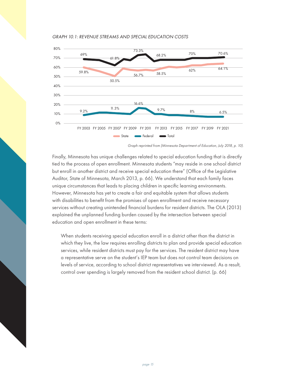#### GRAPH 10.1: REVENUE STREAMS AND SPECIAL EDUCATION COSTS



Graph reprinted from (Minnesota Department of Education, July 2018, p. 10).

Finally, Minnesota has unique challenges related to special education funding that is directly tied to the process of open enrollment. Minnesota students "may reside in one school district but enroll in another district and receive special education there" (Office of the Legislative Auditor, State of Minnesota, March 2013, p. 66). We understand that each family faces unique circumstances that leads to placing children in specific learning environments. However, Minnesota has yet to create a fair and equitable system that allows students with disabilities to benefit from the promises of open enrollment and receive necessary services without creating unintended financial burdens for resident districts. The OLA (2013) explained the unplanned funding burden caused by the intersection between special education and open enrollment in these terms:

When students receiving special education enroll in a district other than the district in which they live, the law requires enrolling districts to plan and provide special education services, while resident districts must pay for the services. The resident district may have a representative serve on the student's IEP team but does not control team decisions on levels of service, according to school district representatives we interviewed. As a result, control over spending is largely removed from the resident school district. (p. 66)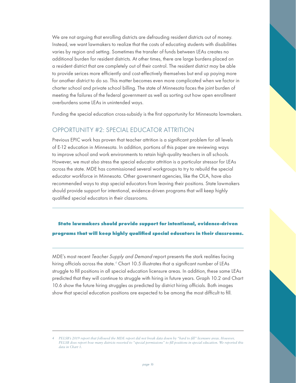We are not arguing that enrolling districts are defrauding resident districts out of money. Instead, we want lawmakers to realize that the costs of educating students with disabilities varies by region and setting. Sometimes the transfer of funds between LEAs creates no additional burden for resident districts. At other times, there are large burdens placed on a resident district that are completely out of their control. The resident district may be able to provide serices more efficiently and cost-effectively themselves but end up paying more for another district to do so. This matter becomes even more complicated when we factor in charter school and private school billing. The state of Minnesota faces the joint burden of meeting the failures of the federal government as well as sorting out how open enrollment overburdens some LEAs in unintended ways.

Funding the special education cross-subsidy is the first opportunity for Minnesota lawmakers.

### OPPORTUNITY #2: SPECIAL EDUCATOR ATTRITION

Previous EPIC work has proven that teacher attrition is a significant problem for all levels of E-12 education in Minnesota. In addition, portions of this paper are reviewing ways to improve school and work environments to retain high-quality teachers in all schools. However, we must also stress the special educator attrition is a particular stressor for LEAs across the state. MDE has commissioned several workgroups to try to rebuild the special educator workforce in Minnesota. Other government agencies, like the OLA, have also recommended ways to stop special educators from leaving their positions. State lawmakers should provide support for intentional, evidence-driven programs that will keep highly qualified special educators in their classrooms.

**State lawmakers should provide support for intentional, evidence-driven programs that will keep highly qualified special educators in their classrooms.**

MDE's most recent Teacher Supply and Demand report presents the stark realities facing hiring officials across the state.<sup>4</sup> Chart 10.5 illustrates that a significant number of LEAs struggle to fill positions in all special education licensure areas. In addition, these same LEAs predicted that they will continue to struggle with hiring in future years. Graph 10.2 and Chart 10.6 show the future hiring struggles as predicted by district hiring officials. Both images show that special education positions are expected to be among the most difficult to fill.

*<sup>4</sup> PELSB's 2019 report that followed the MDE report did not break data down by "hard to fill" licensure areas. However, PELSB does report how many districts resorted to "special permissions" to fill positions in special education. We reported this data in Chart 1.*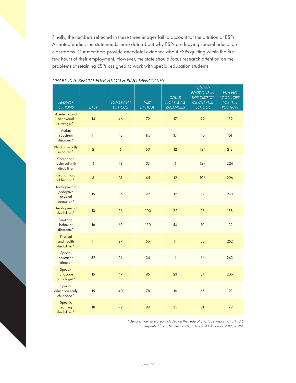Finally, the numbers reflected in these three images fail to account for the attrition of ESPs. As noted earlier, the state needs more data about why ESPs are leaving special education classrooms. Our members provide anecdotal evidence about ESPs quitting within the first few hours of their employment. However, the state should focus research attention on the problems of retaining ESPs assigned to work with special education students.

| <b>ANSWER</b><br><b>OPTIONS</b>                      | EASY                     | <b>SOMEWHAT</b><br><b>DIFFICULT</b> | <b>VERY</b><br><b>DIFFICULT</b> | COULD<br><b>NOT FILL ALL</b><br><b>VACANCIES</b> | N/A NO<br><b>POSITIONS IN</b><br><b>THIS DISTRICT</b><br>OR CHARTER<br><b>SCHOOL</b> | N/A NO<br><b>VACANCIES</b><br><b>FOR THIS</b><br><b>POSITION</b> |
|------------------------------------------------------|--------------------------|-------------------------------------|---------------------------------|--------------------------------------------------|--------------------------------------------------------------------------------------|------------------------------------------------------------------|
| Acedemic and<br>behavorial<br>strategist*            | 14                       | 46                                  | 72                              | 17                                               | 99                                                                                   | 159                                                              |
| Autism<br>spectrum<br>disorders*                     | 11                       | 43                                  | 115                             | 37                                               | 40                                                                                   | 161                                                              |
| <b>Blind or visually</b><br>impaired*                | $\overline{2}$           | $\boldsymbol{6}$                    | 50                              | 12                                               | 124                                                                                  | 213                                                              |
| Career and<br>technical with<br>disabilities         | $\overline{\mathcal{A}}$ | 13                                  | 33                              | $\sqrt{4}$                                       | 129                                                                                  | 224                                                              |
| Deaf or hard<br>of hearing*                          | $\sqrt{3}$               | 15                                  | 45                              | 12                                               | 106                                                                                  | 226                                                              |
| Developmental<br>/adaptive<br>physical<br>education* | 15                       | 36                                  | 42                              | 12                                               | 59                                                                                   | 243                                                              |
| Developmental<br>disabilities*                       | 13                       | 56                                  | 100                             | 22                                               | 28                                                                                   | 188                                                              |
| Emotional<br>behavior<br>disorders*                  | 16                       | 65                                  | 130                             | 54                                               | 10                                                                                   | 132                                                              |
| Physical<br>and health<br>disabilities*              | $\mathbf l$              | 27                                  | 56                              | $\overline{\mathbf{1}}$                          | 50                                                                                   | 252                                                              |
| Special<br>education<br>director                     | 32                       | 31                                  | 34                              | 1                                                | 66                                                                                   | 243                                                              |
| Speech-<br>language<br>pathologist*                  | 15                       | 47                                  | 85                              | 23                                               | 31                                                                                   | 206                                                              |
| Special<br>education early<br>childhood*             | 15                       | 40                                  | 78                              | 16                                               | 65                                                                                   | 193                                                              |
| Specific<br>learning<br>disabilities*                | 18                       | 72                                  | 89                              | 35                                               | 21                                                                                   | 172                                                              |

#### CHART 10.5: SPECIAL EDUCATION HIRING DIFFICULTIES

\*Denotes licensure area included on the Federal Shortage Report. Chart 10.5 reprinted from (Minnesota Department of Education, 2017, p. 26).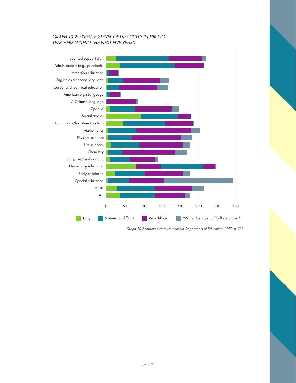#### GRAPH 10.2: EXPECTED LEVEL OF DIFFICULTY IN HIRING TEACHERS WITHIN THE NEXT FIVE YEARS



Graph 10.2 reprinted from (Minnesota Department of Education, 2017, p. 32).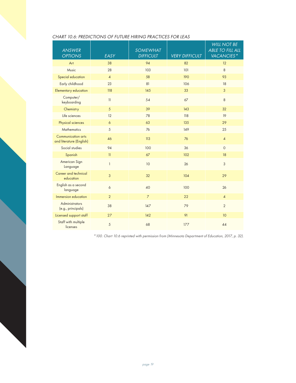| CHART 10.6: PREDICTIONS OF FUTURE HIRING PRACTICES FOR LEAS |  |  |
|-------------------------------------------------------------|--|--|
|-------------------------------------------------------------|--|--|

| <b>ANSWER</b><br><b>OPTIONS</b>                       | EASY                    | <b>SOMEWHAT</b><br><b>DIFFICULT</b> | <b>VERY DIFFICULT</b> | <b>WILL NOT BE</b><br><b>ABLE TO FILL ALL</b><br>VACANCIES* |
|-------------------------------------------------------|-------------------------|-------------------------------------|-----------------------|-------------------------------------------------------------|
| Art                                                   | 38                      | 94                                  | 82                    | 12                                                          |
| Music                                                 | 28                      | 103                                 | 101                   | 8                                                           |
| Special education                                     | $\overline{4}$          | 58                                  | 190                   | 93                                                          |
| Early childhood                                       | 23                      | 81                                  | 106                   | 18                                                          |
| Elementary education                                  | 118                     | 145                                 | 33                    | 3                                                           |
| Computer/<br>keyboarding                              | $\overline{\mathbf{1}}$ | 54                                  | 67                    | 8                                                           |
| Chemistry                                             | 5                       | 39                                  | 143                   | 32                                                          |
| Life sciences                                         | 12                      | 78                                  | 118                   | 19                                                          |
| Physical sciences                                     | 6                       | 63                                  | 135                   | 29                                                          |
| <b>Mathematics</b>                                    | 5                       | 76                                  | 149                   | 25                                                          |
| <b>Communication arts</b><br>and literature (English) | 46                      | 113                                 | 76                    | $\overline{4}$                                              |
| Social studies                                        | 94                      | 100                                 | 36                    | $\mathbf 0$                                                 |
| Spanish                                               | $\overline{\mathbf{1}}$ | 67                                  | 102                   | 18                                                          |
| American Sign<br>Language                             | $\mathbf{1}$            | 10                                  | 26                    | 3                                                           |
| Career and technical<br>education                     | $\mathfrak{S}$          | 32                                  | 104                   | 29                                                          |
| English as a second<br>language                       | $\boldsymbol{6}$        | 40                                  | 100                   | 26                                                          |
| Immersion education                                   | $\overline{2}$          | $\overline{7}$                      | 22                    | $\overline{4}$                                              |
| <b>Administrators</b><br>(e.g., principals)           | 38                      | 147                                 | 79                    | $\overline{2}$                                              |
| Licensed support staff                                | 27                      | 142                                 | 91                    | 10                                                          |
| Staff with multiple<br>licenses                       | 5                       | 68                                  | 177                   | 44                                                          |

\*100. Chart 10.6 reprinted with permission from (Minnesota Department of Education, 2017, p. 32).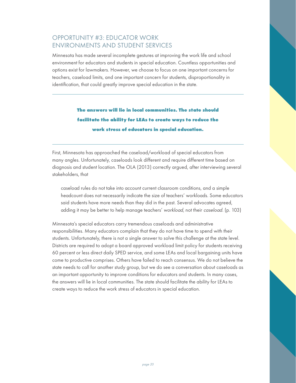### OPPORTUNITY #3: EDUCATOR WORK ENVIRONMENTS AND STUDENT SERVICES

Minnesota has made several incomplete gestures at improving the work life and school environment for educators and students in special education. Countless opportunities and options exist for lawmakers. However, we choose to focus on one important concerns for teachers, caseload limits, and one important concern for students, disproportionality in identification, that could greatly improve special education in the state.

## **The answers will lie in local communities. The state should facilitate the ability for LEAs to create ways to reduce the work stress of educators in special education.**

First, Minnesota has approached the caseload/workload of special educators from many angles. Unfortunately, caseloads look different and require different time based on diagnosis and student location. The OLA (2013) correctly argued, after interviewing several stakeholders, that

caseload rules do not take into account current classroom conditions, and a simple headcount does not necessarily indicate the size of teachers' workloads. Some educators said students have more needs than they did in the past. Several advocates agreed, adding it may be better to help manage teachers' workload, not their caseload. (p. 103)

Minnesota's special educators carry tremendous caseloads and administrative responsibilities. Many educators complain that they do not have time to spend with their students. Unfortunately, there is not a single answer to solve this challenge at the state level. Districts are required to adopt a board approved workload limit policy for students receiving 60 percent or less direct daily SPED service, and some LEAs and local bargaining units have come to productive comprises. Others have failed to reach consensus. We do not believe the state needs to call for another study group, but we do see a conversation about caseloads as an important opportunity to improve conditions for educators and students. In many cases, the answers will lie in local communities. The state should facilitate the ability for LEAs to create ways to reduce the work stress of educators in special education.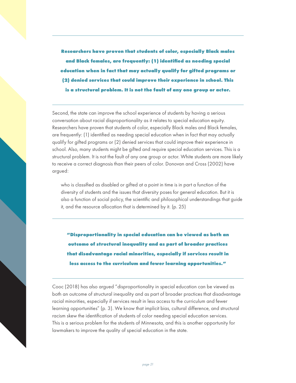**Researchers have proven that students of color, especially Black males and Black females, are frequently: (1) identified as needing special education when in fact that may actually qualify for gifted programs or (2) denied services that could improve their experience in school. This is a structural problem. It is not the fault of any one group or actor.**

Second, the state can improve the school experience of students by having a serious conversation about racial disproportionality as it relates to special education equity. Researchers have proven that students of color, especially Black males and Black females, are frequently: (1) identified as needing special education when in fact that may actually qualify for gifted programs or (2) denied services that could improve their experience in school. Also, many students might be gifted and require special education services. This is a structural problem. It is not the fault of any one group or actor. White students are more likely to receive a correct diagnosis than their peers of color. Donovan and Cross (2002) have argued:

who is classified as disabled or gifted at a point in time is in part a function of the diversity of students and the issues that diversity poses for general education. But it is also a function of social policy, the scientific and philosophical understandings that guide it, and the resource allocation that is determined by it. (p. 25)

**"Disproportionality in special education can be viewed as both an outcome of structural inequality and as part of broader practices that disadvantage racial minorities, especially if services result in less access to the curriculum and fewer learning opportunities."**

Cooc (2018) has also argued "disproportionality in special education can be viewed as both an outcome of structural inequality and as part of broader practices that disadvantage racial minorities, especially if services result in less access to the curriculum and fewer learning opportunities" (p. 3). We know that implicit bias, cultural difference, and structural racism skew the identification of students of color needing special education services. This is a serious problem for the students of Minnesota, and this is another opportunity for lawmakers to improve the quality of special education in the state.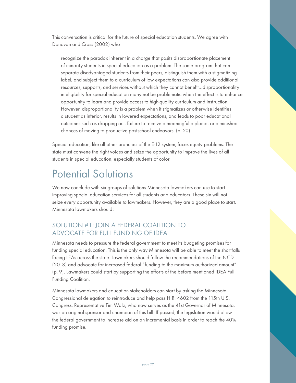This conversation is critical for the future of special education students. We agree with Donovan and Cross (2002) who

recognize the paradox inherent in a charge that posits disproportionate placement of minority students in special education as a problem. The same program that can separate disadvantaged students from their peers, distinguish them with a stigmatizing label, and subject them to a curriculum of low expectations can also provide additional resources, supports, and services without which they cannot benefit…disproportionality in eligibility for special education many not be problematic when the effect is to enhance opportunity to learn and provide access to high-quality curriculum and instruction. However, disproportionality is a problem when it stigmatizes or otherwise identifies a student as inferior, results in lowered expectations, and leads to poor educational outcomes such as dropping out, failure to receive a meaningful diploma, or diminished chances of moving to productive postschool endeavors. (p. 20)

Special education, like all other branches of the E-12 system, faces equity problems. The state must convene the right voices and seize the opportunity to improve the lives of all students in special education, especially students of color.

# Potential Solutions

We now conclude with six groups of solutions Minnesota lawmakers can use to start improving special education services for all students and educators. These six will not seize every opportunity available to lawmakers. However, they are a good place to start. Minnesota lawmakers should:

### SOLUTION #1: JOIN A FEDERAL COALITION TO ADVOCATE FOR FULL FUNDING OF IDEA.

Minnesota needs to pressure the federal government to meet its budgeting promises for funding special education. This is the only way Minnesota will be able to meet the shortfalls facing LEAs across the state. Lawmakers should follow the recommendations of the NCD (2018) and advocate for increased federal "funding to the maximum authorized amount" (p. 9). Lawmakers could start by supporting the efforts of the before mentioned IDEA Full Funding Coalition.

Minnesota lawmakers and education stakeholders can start by asking the Minnesota Congressional delegation to reintroduce and help pass H.R. 4602 from the 115th U.S. Congress. Representative Tim Walz, who now serves as the 41st Governor of Minnesota, was an original sponsor and champion of this bill. If passed, the legislation would allow the federal government to increase aid on an incremental basis in order to reach the 40% funding promise.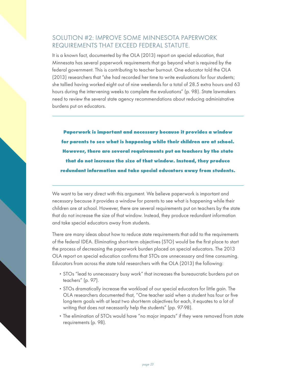### SOLUTION #2: IMPROVE SOME MINNESOTA PAPERWORK REQUIREMENTS THAT EXCEED FEDERAL STATUTE.

It is a known fact, documented by the OLA (2013) report on special education, that Minnesota has several paperwork requirements that go beyond what is required by the federal government. This is contributing to teacher burnout. One educator told the OLA (2013) researchers that "she had recorded her time to write evaluations for four students; she tallied having worked eight out of nine weekends for a total of 28.5 extra hours and 63 hours during the intervening weeks to complete the evaluations" (p. 98). State lawmakers need to review the several state agency recommendations about reducing administrative burdens put on educators.

**Paperwork is important and necessary because it provides a window for parents to see what is happening while their children are at school. However, there are several requirements put on teachers by the state that do not increase the size of that window. Instead, they produce redundant information and take special educators away from students.**

We want to be very direct with this argument. We believe paperwork is important and necessary because it provides a window for parents to see what is happening while their children are at school. However, there are several requirements put on teachers by the state that do not increase the size of that window. Instead, they produce redundant information and take special educators away from students.

There are many ideas about how to reduce state requirements that add to the requirements of the federal IDEA. Eliminating short-term objectives (STO) would be the first place to start the process of decreasing the paperwork burden placed on special educators. The 2013 OLA report on special education confirms that STOs are unnecessary and time consuming. Educators from across the state told researchers with the OLA (2013) the following:

- •STOs "lead to unnecessary busy work" that increases the bureaucratic burdens put on teachers" (p. 97).
- •STOs dramatically increase the workload of our special educators for little gain. The OLA researchers documented that, "One teacher said when a student has four or five long-term goals with at least two short-term objectives for each, it equates to a lot of writing that does not necessarily help the students" (pp. 97-98).
- •The elimination of STOs would have "no major impacts" if they were removed from state requirements (p. 98).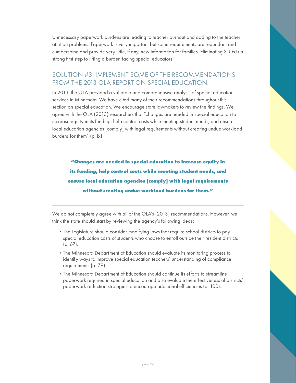Unnecessary paperwork burdens are leading to teacher burnout and adding to the teacher attrition problems. Paperwork is very important but some requirements are redundant and cumbersome and provide very little, if any, new information for families. Eliminating STOs is a strong first step to lifting a burden facing special educators.

### SOLUTION #3: IMPLEMENT SOME OF THE RECOMMENDATIONS FROM THE 2013 OLA REPORT ON SPECIAL EDUCATION.

In 2013, the OLA provided a valuable and comprehensive analysis of special education services in Minnesota. We have cited many of their recommendations throughout this section on special education. We encourage state lawmakers to review the findings. We agree with the OLA (2013) researchers that "changes are needed in special education to increase equity in its funding, help control costs while meeting student needs, and ensure local education agencies [comply] with legal requirements without creating undue workload burdens for them" (p. ix).

**"Changes are needed in special education to increase equity in its funding, help control costs while meeting student needs, and ensure local education agencies [comply] with legal requirements without creating undue workload burdens for them."**

We do not completely agree with all of the OLA's (2013) recommendations. However, we think the state should start by reviewing the agency's following ideas:

- •The Legislature should consider modifying laws that require school districts to pay special education costs of students who choose to enroll outside their resident districts (p. 67).
- •The Minnesota Department of Education should evaluate its monitoring process to identify ways to improve special education teachers' understanding of compliance requirements (p. 79).
- •The Minnesota Department of Education should continue its efforts to streamline paperwork required in special education and also evaluate the effectiveness of districts' paperwork reduction strategies to encourage additional efficiencies (p. 100).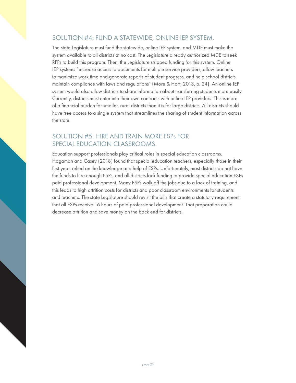### SOLUTION #4: FUND A STATEWIDE, ONLINE IEP SYSTEM.

The state Legislature must fund the statewide, online IEP system, and MDE must make the system available to all districts at no cost. The Legislature already authorized MDE to seek RFPs to build this program. Then, the Legislature stripped funding for this system. Online IEP systems "increase access to documents for multiple service providers, allow teachers to maximize work time and generate reports of student progress, and help school districts maintain compliance with laws and regulations" (More & Hart, 2013, p. 24). An online IEP system would also allow districts to share information about transferring students more easily. Currently, districts must enter into their own contracts with online IEP providers. This is more of a financial burden for smaller, rural districts than it is for large districts. All districts should have free access to a single system that streamlines the sharing of student information across the state.

### SOLUTION #5: HIRE AND TRAIN MORE ESPs FOR SPECIAL EDUCATION CLASSROOMS.

Education support professionals play critical roles in special education classrooms. Hagaman and Casey (2018) found that special education teachers, especially those in their first year, relied on the knowledge and help of ESPs. Unfortunately, most districts do not have the funds to hire enough ESPs, and all districts lack funding to provide special education ESPs paid professional development. Many ESPs walk off the jobs due to a lack of training, and this leads to high attrition costs for districts and poor classroom environments for students and teachers. The state Legislature should revisit the bills that create a statutory requirement that all ESPs receive 16 hours of paid professional development. That preparation could decrease attrition and save money on the back end for districts.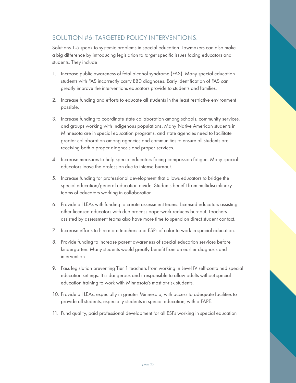### SOLUTION #6: TARGETED POLICY INTERVENTIONS.

Solutions 1-5 speak to systemic problems in special education. Lawmakers can also make a big difference by introducing legislation to target specific issues facing educators and students. They include:

- 1. Increase public awareness of fetal alcohol syndrome (FAS). Many special education students with FAS incorrectly carry EBD diagnoses. Early identification of FAS can greatly improve the interventions educators provide to students and families.
- 2. Increase funding and efforts to educate all students in the least restrictive environment possible.
- 3. Increase funding to coordinate state collaboration among schools, community services, and groups working with Indigenous populations. Many Native American students in Minnesota are in special education programs, and state agencies need to facilitate greater collaboration among agencies and communities to ensure all students are receiving both a proper diagnosis and proper services.
- 4. Increase measures to help special educators facing compassion fatigue. Many special educators leave the profession due to intense burnout.
- 5. Increase funding for professional development that allows educators to bridge the special education/general education divide. Students benefit from multidisciplinary teams of educators working in collaboration.
- 6. Provide all LEAs with funding to create assessment teams. Licensed educators assisting other licensed educators with due process paperwork reduces burnout. Teachers assisted by assessment teams also have more time to spend on direct student contact.
- 7. Increase efforts to hire more teachers and ESPs of color to work in special education.
- 8. Provide funding to increase parent awareness of special education services before kindergarten. Many students would greatly benefit from an earlier diagnosis and intervention.
- 9. Pass legislation preventing Tier 1 teachers from working in Level IV self-contained special education settings. It is dangerous and irresponsible to allow adults without special education training to work with Minnesota's most at-risk students.
- 10. Provide all LEAs, especially in greater Minnesota, with access to adequate facilities to provide all students, especially students in special education, with a FAPE.
- 11. Fund quality, paid professional development for all ESPs working in special education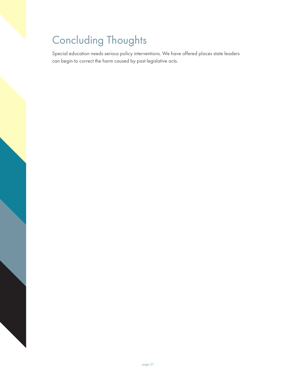# Concluding Thoughts

Special education needs serious policy interventions. We have offered places state leaders can begin to correct the harm caused by past legislative acts.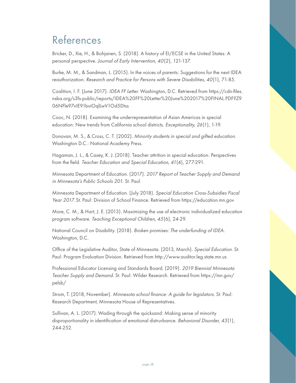# References

Bricker, D., Xie, H., & Bohjanen, S. (2018). A history of EI/ECSE in the United States: A personal perspective. Journal of Early Intervention, 40(2), 121-137.

Burke, M. M., & Sandman, L. (2015). In the voices of parents: Suggestions for the next IDEA reauthorization. Research and Practice for Persons with Severe Disabilities, 40(1), 71-85.

Coalition, I. F. (June 2017). IDEA FF Letter. Washington, D.C. Retrieved from https://cdn-files. nsba.org/s3fs-public/reports/IDEA%20FF%20Letter%20June%202017%20FINAL.PDF?Z9 06NFle97vIE91bviOqlLwV1Od5Dtss

Cooc, N. (2018). Examining the underrepresentation of Asian Americas in special education: New trends from California school districts. Exceptionality, 26(1), 1-19.

Donovan, M. S., & Cross, C. T. (2002). Minority students in special and gifted education. Washington D.C.: National Academy Press.

Hagaman, J. L., & Casey, K. J. (2018). Teacher attrition in special education: Perspectives from the field. Teacher Education and Special Education, 41(4), 277-291.

Minnesota Department of Education. (2017). 2017 Report of Teacher Supply and Demand in Minnesota's Public Schools 201. St. Paul.

Minnesota Department of Education. (July 2018). Special Education Cross-Subsidies Fiscal Year 2017. St. Paul: Division of School Finance. Retrieved from https://education.mn.gov

More, C. M., & Hart, J. E. (2013). Maximizing the use of electronic individualized education program software. Teaching Exceptional Children, 45(6), 24-29.

National Council on Disability. (2018). Broken promises: The underfunding of IDEA. Washington, D.C.

Office of the Legislative Auditor, State of Minnesota. (2013, March). Special Education. St. Paul: Program Evaluation Division. Retrieved from http://www.auditor.leg.state.mn.us

Professional Educator Licensing and Standards Board. (2019). 2019 Biennial Minnesota Teacher Supply and Demand. St. Paul: Wilder Research. Retrieved from https://mn.gov/ pelsb/

Strom, T. (2018, November). Minnesota school finance: A guide for legislators. St. Paul: Research Department, Minnesota House of Representatives.

Sullivan, A. L. (2017). Wading through the quicksand: Making sense of minority disproportionality in identification of emotional distrurbance. Behavioral Disorder, 43(1), 244-252.